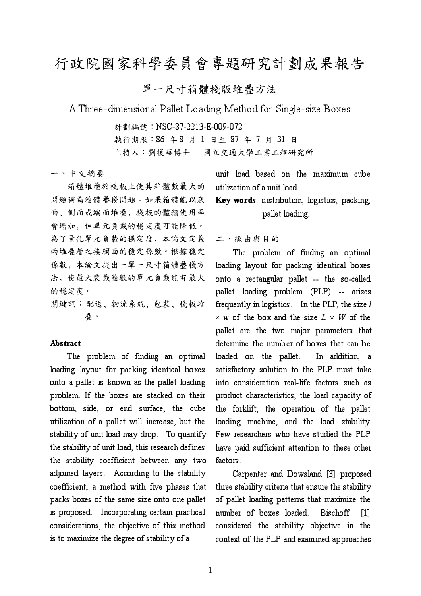## 行政院國家科學委員會專題研究計劃成果報告

單一尺寸箱體棧版堆疊方法

A Three-dimensional Pallet Loading Method for Single-size Boxes

計劃編號:NSC-87-2213-E-009-072 執行期限: 86 年8 月 1 日至 87 年 7 月 31 日

主持人:劉復華博士 國立交通大學工業工程研究所

一、中文摘要

箱體堆疊於棧板上使其箱體數最大的 問題稱為箱體疊棧問題。如果箱體能以底 面、侧面或端面堆疊, 棧板的體積使用率 會增加,但單元負載的穩定度可能降低。 為了量化單元負載的穩定度,本論文定義 兩堆疊層之接觸面的穩定係數。根據穩定 係數,本論文提出一單一尺寸箱體疊棧方 法,使最大裝載箱數的單元負載能有最大 的穩定度。

關鍵詞:配送、物流系統、包裝、棧板堆 疊。

## **Abstract**

The problem of finding an optimal loading layout for packing identical boxes onto a pallet is known as the pallet loading problem. If the boxes are stacked on their bottom, side, or end surface, the cube utilization of a pallet will increase, but the stability of unit load may drop. To quantify the stability of unit load, this research defines the stability coefficient between any two adjoined layers. According to the stability coefficient, a method with five phases that packs boxes of the same size onto one pallet is proposed. Incorporating certain practical considerations, the objective of this method is to maximize the degree of stability of a

unit load based on the maximum cube utilization of a unit load.

## Key words: distribution, logistics, packing, pallet loading.

二、緣由與目的

The problem of finding an optimal loading layout for packing identical boxes onto a rectangular pallet -- the so-called pallet loading problem (PLP) -- arises frequently in logistics. In the PLP, the size l  $\times$  w of the box and the size  $L \times W$  of the pallet are the two major parameters that determine the number of boxes that can be loaded on the pallet. In addition, a satisfactory solution to the PLP must take into consideration real-life factors such as product characteristics, the load capacity of the forklift, the operation of the pallet loading machine, and the load stability. Few researchers who have studied the PLP have paid sufficient attention to these other factors.

Carpenter and Dowsland [3] proposed three stability criteria that ensure the stability of pallet loading patterns that maximize the number of boxes loaded. Bischoff [1] considered the stability objective in the context of the PLP and examined approaches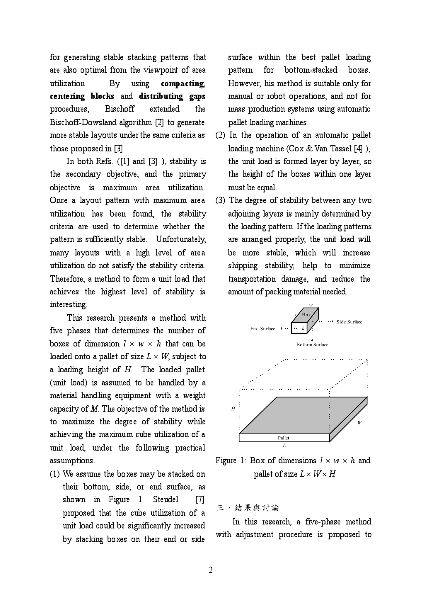for generating stable stacking patterns that are also optimal from the viewpoint of area utilization. By using compacting, centering blocks and distributing gaps procedures, Bischoff extended the Bischoff-Dowsland algorithm [2] to generate more stable layouts under the same criteria as those proposed in [3]

In both Refs. ([1] and [3] ), stability is the secondary objective, and the primary objective is maximum area utilization. Once a layout pattern with maximum area utilization has been found, the stability criteria are used to determine whether the pattern is sufficiently stable. Unfortunately, many layouts with a high level of area utilization do not satisfy the stability criteria. Therefore, a method to form a unit load that achieves the highest level of stability is interesting.

This research presents a method with five phases that determines the number of boxes of dimension  $l \times w \times h$  that can be loaded onto a pallet of size  $L \times W$ , subject to a loading height of  $H$ . The loaded pallet (unit load) is assumed to be handled by a material handling equipment with a weight capacity of  $M$ . The objective of the method is to maximize the degree of stability while achieving the maximum cube utilization of a unit load, under the following practical assumptions.

(1) We assume the boxes may be stacked on their bottom, side, or end surface, as shown in Figure 1. Steudel [7] proposed that the cube utilization of a unit load could be significantly increased by stacking boxes on their end or side

surface within the best pallet loading pattern for bottom-stacked boxes. However, his method is suitable only for manual or robot operations, and not for mass production systems using automatic pallet loading machines.

- (2) In the operation of an automatic pallet loading machine (Cox & Van Tassel [4] ), the unit load is formed layer by layer, so the height of the boxes within one layer must be equal.
- (3) The degree of stability between any two adjoining layers is mainly determined by the loading pattern. If the loading patterns are arranged properly, the unit load will be more stable, which will increase shipping stability, help to minimize transportation damage, and reduce the amount of packing material needed.



Figure 1: Box of dimensions  $l \times w \times h$  and pallet of size  $L \times W \times H$ 

三、結果與討論

In this research, a five-phase method with adjustment procedure is proposed to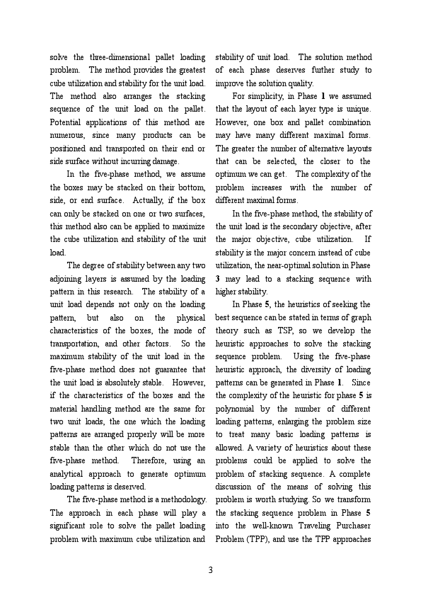solve the three-dimensional pallet loading problem. The method provides the greatest cube utilization and stability for the unit load. The method also arranges the stacking sequence of the unit load on the pallet. Potential applications of this method are numerous, since many products can be positioned and transported on their end or side surface without incurring damage.

In the five-phase method, we assume the boxes may be stacked on their bottom, side, or end surface. Actually, if the box can only be stacked on one or two surfaces, this method also can be applied to maximize the cube utilization and stability of the unit load.

The degree of stability between any two adjoining layers is assumed by the loading pattern in this research. The stability of a unit load depends not only on the loading pattern, but also on the physical characteristics of the boxes, the mode of transportation, and other factors. So the maximum stability of the unit load in the five-phase method does not guarantee that the unit load is absolutely stable. However, if the characteristics of the boxes and the material handling method are the same for two unit loads, the one which the loading patterns are arranged properly will be more stable than the other which do not use the five-phase method. Therefore, using an analytical approach to generate optimum loading patterns is deserved.

The five-phase method is a methodology. The approach in each phase will play a significant role to solve the pallet loading problem with maximum cube utilization and

stability of unit load. The solution method of each phase deserves further study to improve the solution quality.

For simplicity, in Phase 1 we assumed that the layout of each layer type is unique. However, one box and pallet combination may have many different maximal forms. The greater the number of alternative layouts that can be selected, the closer to the optimum we can get. The complexity of the problem increases with the number of different maximal forms.

In the five-phase method, the stability of the unit load is the secondary objective, after the major objective, cube utilization. If stability is the major concern instead of cube utilization, the near-optimal solution in Phase 3 may lead to a stacking sequence with higher stability.

In Phase 5, the heuristics of seeking the best sequence can be stated in terms of graph theory such as TSP, so we develop the heuristic approaches to solve the stacking sequence problem. Using the five-phase heuristic approach, the diversity of loading patterns can be generated in Phase 1. Since the complexity of the heuristic for phase 5 is polynomial by the number of different loading patterns, enlarging the problem size to treat many basic loading patterns is allowed. A variety of heuristics about these problems could be applied to solve the problem of stacking sequence. A complete discussion of the means of solving this problem is worth studying. So we transform the stacking sequence problem in Phase 5 into the well-known Traveling Purchaser Problem (TPP), and use the TPP approaches